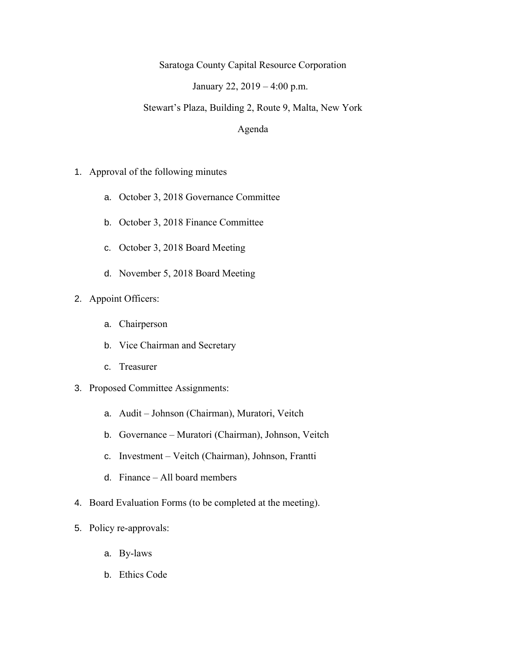Saratoga County Capital Resource Corporation

January 22, 2019 – 4:00 p.m.

Stewart's Plaza, Building 2, Route 9, Malta, New York

## Agenda

- 1. Approval of the following minutes
	- a. October 3, 2018 Governance Committee
	- b. October 3, 2018 Finance Committee
	- c. October 3, 2018 Board Meeting
	- d. November 5, 2018 Board Meeting
- 2. Appoint Officers:
	- a. Chairperson
	- b. Vice Chairman and Secretary
	- c. Treasurer
- 3. Proposed Committee Assignments:
	- a. Audit Johnson (Chairman), Muratori, Veitch
	- b. Governance Muratori (Chairman), Johnson, Veitch
	- c. Investment Veitch (Chairman), Johnson, Frantti
	- d. Finance All board members
- 4. Board Evaluation Forms (to be completed at the meeting).
- 5. Policy re-approvals:
	- a. By-laws
	- b. Ethics Code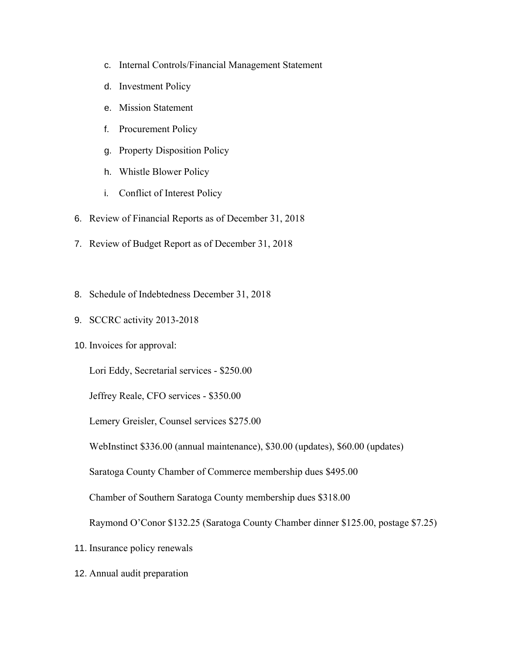- c. Internal Controls/Financial Management Statement
- d. Investment Policy
- e. Mission Statement
- f. Procurement Policy
- g. Property Disposition Policy
- h. Whistle Blower Policy
- i. Conflict of Interest Policy
- 6. Review of Financial Reports as of December 31, 2018
- 7. Review of Budget Report as of December 31, 2018
- 8. Schedule of Indebtedness December 31, 2018
- 9. SCCRC activity 2013-2018
- 10. Invoices for approval:

Lori Eddy, Secretarial services - \$250.00

Jeffrey Reale, CFO services - \$350.00

Lemery Greisler, Counsel services \$275.00

WebInstinct \$336.00 (annual maintenance), \$30.00 (updates), \$60.00 (updates)

Saratoga County Chamber of Commerce membership dues \$495.00

Chamber of Southern Saratoga County membership dues \$318.00

Raymond O'Conor \$132.25 (Saratoga County Chamber dinner \$125.00, postage \$7.25)

- 11. Insurance policy renewals
- 12. Annual audit preparation